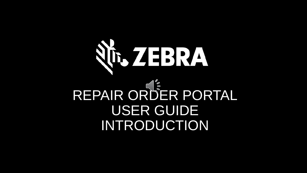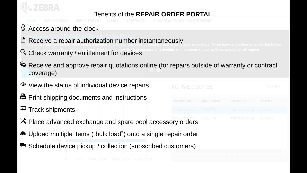

# Benefits of the **REPAIR ORDER PORTAL**:

- $\mathcal{Q}$ Access around-the-clock
- Receive a repair authorization number instantaneously
- $\alpha$  Check warranty / entitlement for devices
- 5 Receive and approve repair quotations online (for repairs outside of warranty or contract coverage)
- View the status of individual device repairs
- **兽 Print shipping documents and instructions**
- $\overline{\mathbb{R}}$  Track shipments
- $X$  Place advanced exchange and spare pool accessory orders
- Upload multiple items ("bulk load") onto a single repair order
- <sup><del>■</del> Schedule device pickup / collection (subscribed customers)</sup>

| <b>ACTIVE QUOTES</b>        |                            | $1 - 2$ of 2 |
|-----------------------------|----------------------------|--------------|
|                             |                            |              |
| 23-Apr-2019 12:0 23102778   | PRDTEST.4224@ \$1,606.65   |              |
| $23-4pr-2019$ 12:0 23102776 | PRDTEST.4224@   \$1,196.65 |              |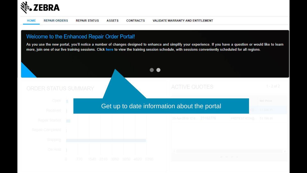

### Welcome to the Enhanced Repair Order Portal!

As you use the new portal, you'll notice a number of changes designed to enhance and simplify your experience. If you have a question or would like to learn more, join one of our live training sessions. Click here to view the training session schedule, with sessions conveniently scheduled for all regions.

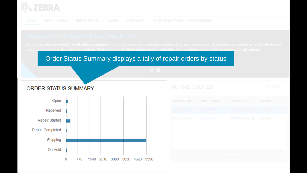

Order Status Summary displays a tally of repair orders by status



| <b>ACTIVE QUOTES</b>      |                            | $1 - 2 of 2$ |
|---------------------------|----------------------------|--------------|
|                           |                            |              |
| 23-Apr-2019 12:0 23102778 | PRDTEST.4224@ \$1,606.65   |              |
| 23-Apr-2019 12:0 23102776 | PRDTEST.4224@   \$1,196.65 |              |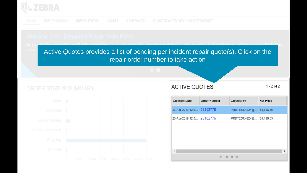

Active Quotes provides a list of pending per incident repair quote(s). Click on the repair order number to take action

# **ORDER STATUS SUMMARY**



# **ACTIVE QUOTES**

 $1 - 2$  of 2

| <b>Creation Date</b>      | <b>Order Number</b> | <b>Created By</b> | <b>Net Price</b> |
|---------------------------|---------------------|-------------------|------------------|
| 23-Apr-2019 12:0          | 23102778            | PRDTEST.4224@     | \$1,606.65       |
| 23-Apr-2019 12:0 23102776 |                     | PRDTEST.4224@     | \$1,196.65       |
|                           |                     |                   |                  |
|                           |                     |                   |                  |
|                           |                     |                   |                  |
|                           |                     |                   |                  |

 $M$   $M$   $N$   $M$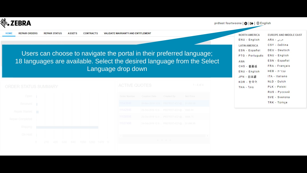

**HOME** 

**REPAIR ORDERS REPAIR STATUS ASSETS CONTRACTS** VALIDATE WARRANTY AND ENTITLEMENT

| <b>NORTH AMERICA</b>          | <b>EUROPE AND MIDDLE EAST</b> |
|-------------------------------|-------------------------------|
| ENU - English                 | عربي - ARA                    |
| <b>LATIN AMERICA</b>          | CSY - čeština                 |
| ESN - Español                 | <b>DEU - Deutsch</b>          |
| PTG - Português ENU - English |                               |
| <b>ASIA</b>                   | ESN - Español                 |
| CHS-普通话                       | FRA - Français                |
| ENU - English                 | עברית - HEB                   |
| JPN - 日本語                     | ITA - Italiano                |
| KOR - 한국어                     | NLD - Dutch                   |
| THA - ใทย                     | PLK - Polski                  |
|                               | RUS - Русский                 |
|                               | SVE - Svenska                 |
|                               | TRK - Türkce                  |





|          | Order Number Creation Date Created By Net Price |                                           |  |
|----------|-------------------------------------------------|-------------------------------------------|--|
| 11543040 |                                                 | 04-Nov-2019 12:0 PRDTEST.4221@ \$1,850.00 |  |
| 11542945 |                                                 | 29-Oct-2019 12:0 PRDTEST.4221@ \$900.00   |  |
| 11538598 |                                                 | 25-Oct-2019 12:0 PRDTEST.4221@ \$666.75   |  |
| 11537498 |                                                 | 24-Oct-2019 12:0 PRDTEST.4221@ \$1,696.95 |  |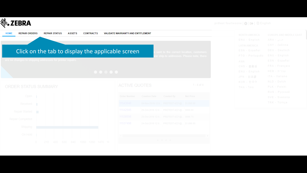

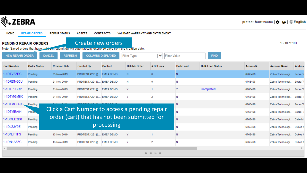

| <b>HOME</b>                                                                                                                                                        | <b>REPAIR ORDERS</b> | <b>REPAIR STATUS</b> | <b>ASSETS</b>                                  | <b>CONTRACTS</b> | <b>VALIDATE WARRANTY AND ENTITLEMENT</b> |                 |                  |                         |          |                           |                 |
|--------------------------------------------------------------------------------------------------------------------------------------------------------------------|----------------------|----------------------|------------------------------------------------|------------------|------------------------------------------|-----------------|------------------|-------------------------|----------|---------------------------|-----------------|
| Create new orders<br><b>PENDING REPAIR ORDERS</b><br>Note: Saved orders that have not been submitted will automatically expire ou days from the creation date.     |                      |                      |                                                |                  |                                          |                 |                  |                         |          |                           | 1 - 10 of $10+$ |
| <b>NEW REPAIR ORDER</b><br><b>CANCEL</b><br><b>COLUMNS DISPLAYED</b><br><b>REFRESH</b><br>$\checkmark$<br><b>FIND</b><br><b>Filter Type</b><br><b>Filter Value</b> |                      |                      |                                                |                  |                                          |                 |                  |                         |          |                           |                 |
| <b>Cart Number</b>                                                                                                                                                 | <b>Order Status</b>  | <b>Creation Date</b> | <b>Created By</b>                              | Contact          | <b>Billable Order</b>                    | # Of Lines      | <b>Bulk Load</b> | <b>Bulk Load Status</b> | Account# | <b>Account Name</b>       | <b>Addres</b>   |
| 1-1DTV3ZPC                                                                                                                                                         | Pending              | 21-Nov-2019          | PRDTEST.4221@ EMEA DEMO                        |                  | 'N.                                      |                 | N.               |                         | 6765498  | Zebra Technologi          | Zebra Ti        |
| 1-1DRDNG0U                                                                                                                                                         | Pending              | 21-Nov-2019          | PRDTEST.4221@ EMEA DEMO                        |                  | N                                        |                 | Ν                |                         | 6765498  | Zebra Technologi          | Zebra To        |
| 1-1DTP9GRP                                                                                                                                                         | Pending              | 21-Nov-2019          | PRDTEST.4221@ EMEA DEMO                        |                  | Y                                        |                 | Y                | Completed               | 6765498  | Zebra Technologi Zebra To |                 |
| 1-1DTMGM5X                                                                                                                                                         | Pending              | 21-Nov-2019          | PRDTEST.4221@ EMEA DEMO                        |                  | IY.                                      | 2               | Ν                |                         | 6765498  | Zebra Technologi          | Zebra To        |
| 1-1DTMGLQX                                                                                                                                                         | Pending              |                      |                                                |                  |                                          |                 | N                |                         | 6765498  | Zebra Technologi          | Zebra To        |
| 1-1DTMEA04                                                                                                                                                         | <b>Pendin</b>        |                      | Click a Cart Number to access a pending repair |                  |                                          |                 | N                |                         | 6765498  | Zebra Technologi          | Zebra To        |
| 1-1DOED2D8                                                                                                                                                         | Pending              |                      | order (cart) that has not been submitted for   |                  |                                          |                 | N                |                         | 6765498  | Zebra Technologi          | Calle M         |
| 1-1DLZJY9E                                                                                                                                                         | Pending              |                      |                                                | processing       |                                          |                 | N                |                         | 6765498  | Zebra Technologi          | Dukes N         |
| 1-1DNJFTFS                                                                                                                                                         | Pending              | 13-Nov-2019          | PRDTEST.4221@ EMEA DEMO                        |                  | Υ                                        |                 | N                |                         | 6765498  | Zebra Technologi          | Dukes N         |
| 1-1DN1A8ZC                                                                                                                                                         | Pending              | 13-Nov-2019          | PRDTEST.4221@ EMEA DEMO                        |                  | Y                                        | 2               | Ν                |                         | 6765498  | Zebra Technologi          | Dukes N         |
|                                                                                                                                                                    |                      |                      |                                                |                  |                                          |                 |                  |                         |          |                           |                 |
|                                                                                                                                                                    |                      |                      |                                                |                  |                                          | <b>M 44 H M</b> |                  |                         |          |                           |                 |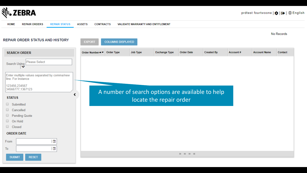

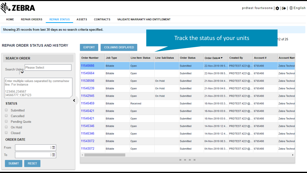

**RESET** 

**SUBMIT** 

### **HOME REPAIR ORDERS REPAIR STATUS ASSETS CONTRACTS** VALIDATE WARRANTY AND ENTITLEMENT Showing 25 records from last 30 days as no search criteria specified. Track the status of your units12 of 25 **REPAIR ORDER STATUS AND HISTORY EXPORT COLUMNS DISPLAYED SEARCH ORDER Order Number Job Type Line Item Status Line SubStatus Order Status Created By** Account# **Account Nam** Order Date ▲▼ 11545666 **Billable** Open Submitted 22-Nov-2019 09:5... PRDTEST.4221@... 6765498 Zebra Technol **Please Select** Search Using 11545664 22-Nov-2019 09:5... PRDTEST.4221@... 6765498 Zebra Technol **Billable** Open Submitted 11538598 Enter multiple values separated by comma/new **Billable** Open On Hold Submitted 21-Nov-2019 04:4... PRDTEST.4221@... 6765498 Zebra Technol line. For instance 11545239 **Billable** Open On Hold Submitted 21-Nov-2019 04:0... PRDTEST.4221@... 6765498 Zebra Technol 123456 234567 34566777,1367123 11542945 **Billable** Open On Hold Submitted 21-Nov-2019 03:3... PRDTEST.4221@... 6765498 Zebra Technol 11545459 **STATUS Billable** Received Submitted 18-Nov-2019 03:3... PRDTEST.4221@... 6765498 Zebra Technol Submitted 11545421 **Billable** Open Submitted 18-Nov-2019 03:0... PRDTEST.4221@... 6765498 Zebra Technol Cancelled 11545421 **Billable** Open Submitted 18-Nov-2019 03:0... PRDTEST.4221@... 6765498 Zebra Technol **Pending Quote** 11545346 **Billable** 14-Nov-2019 12:4... PRDTEST.4221@... 6765498 Open Submitted Zebra Technol On Hold Ω. Closed 11545346 14-Nov-2019 12:4... PRDTEST.4221@... 6765498 **Billable** Open Submitted Zebra Technol **ORDER DATE** 11543072 **Billable** Submitted 04-Nov-2019 08:3... PRDTEST.4221@... 6765498 Zebra Technol Open  $\left\lfloor 2 \right\rfloor$ From 11543072 **Billable** Open Submitted 04-Nov-2019 08:3... PRDTEST.4221@... 6765498 Zebra Technol  $\left\lfloor \frac{n}{2} \right\rfloor$ To

←

 $M$   $M$   $N$   $M$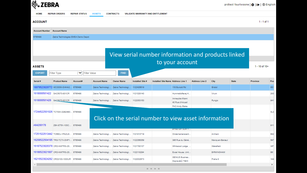| EBRA                                  |                                                                                          |                          |                                            |                                              |                                          |                                                                 |                                          |                       |                   | prdtest fourtwoone   <b>CH</b>   [+ ] |                 | ∰ English    |
|---------------------------------------|------------------------------------------------------------------------------------------|--------------------------|--------------------------------------------|----------------------------------------------|------------------------------------------|-----------------------------------------------------------------|------------------------------------------|-----------------------|-------------------|---------------------------------------|-----------------|--------------|
| <b>HOME</b>                           | <b>REPAIR ORDERS</b>                                                                     | <b>REPAIR STATUS</b>     | <b>ASSETS</b>                              | <b>CONTRACTS</b>                             | <b>VALIDATE WARRANTY AND ENTITLEMENT</b> |                                                                 |                                          |                       |                   |                                       |                 |              |
| <b>ACCOUNT</b>                        |                                                                                          |                          |                                            |                                              |                                          |                                                                 |                                          |                       |                   |                                       | $1 - 1$ of 1    |              |
| <b>Account Number</b>                 | <b>Account Name</b>                                                                      |                          |                                            |                                              |                                          |                                                                 |                                          |                       |                   |                                       |                 |              |
| 6765498                               | Zebra Technologies EMEA Demo Depot                                                       |                          |                                            |                                              |                                          |                                                                 |                                          |                       |                   |                                       |                 |              |
| <b>ASSETS</b><br><b>EXPORT</b>        | View serial number information and products linked<br>to your account<br>1 - 10 of $10+$ |                          |                                            |                                              |                                          |                                                                 |                                          |                       |                   |                                       |                 |              |
| Serial #                              | <b>Filter Type</b><br><b>Product Name</b>                                                | $\checkmark$<br>Account# | <b>Filter Value</b><br><b>Account Name</b> | <b>FIND</b><br><b>Owner Name</b>             | Installed Site #                         | Installed Site Name Address Line 1                              |                                          | <b>Address Line 2</b> | City              | <b>State</b>                          | <b>Province</b> | Pos          |
|                                       | 18079523020772 MC330M-GI4HA2                                                             | 6765498                  | Zebra Technologi.                          | Zebra Technologi.                            | 1122426619                               |                                                                 | 118 Burcott Rd                           |                       | <b>Bristol</b>    |                                       |                 | BS1          |
| 1618000501422 SAC5070-801CR           |                                                                                          | 6765498                  | Zebra Technologi.                          | Zebra Technologi                             | 1121328143                               |                                                                 | Hummeltoftevej 4.                        |                       | Virum             |                                       |                 | 283          |
| 1618000501426 SAC5070-801CR           |                                                                                          | 6765498                  | Zebra Technologi                           | Zebra Technologi 1122053153                  |                                          |                                                                 | Immeuble Miami<br>40 Rue d'Arcueil       |                       | Rungis            |                                       |                 | 941          |
|                                       | 17244522501026 TC700K-02B24B0 6765498                                                    |                          |                                            |                                              |                                          | Click on the serial number to view asset information            | FAO Andy Blake                           |                       |                   |                                       |                 | <b>SLE</b>   |
| A64200178                             | ZBK-ET5X-10SC 6765498                                                                    |                          |                                            |                                              |                                          |                                                                 | 91193 GIF SUR Y                          |                       |                   |                                       |                 | 911          |
| 17251522513442 TC56DJ-1PAZU4          |                                                                                          | 6765498                  | Zebra Technologi.                          | Zebra Technologi                             | 1121413719                               |                                                                 | Ondernemerscent.                         |                       | Arnhem            |                                       |                 | 682          |
|                                       | 16208522504185 TRG-TC7X-SNP1 6765498                                                     |                          | Zebra Technologi                           | Zebra Technologi   1122356359                |                                          |                                                                 | 395 Rue du Géné.                         |                       | Marcq-en-Barceul  |                                       |                 | 597          |
|                                       | 16187523020379 CRD-NWTRS-2S 6765498                                                      |                          |                                            | Zebra Technologi Zebra Technologi 1121780137 |                                          |                                                                 | Whitwood Lodge,                          |                       | Wakefield         |                                       |                 | WF           |
| 16186523021607 CRD-NWTRS-2S 6765498   |                                                                                          |                          |                                            | Zebra Technologi Zebra Technologi 1122118294 |                                          |                                                                 | Excel House, Unit                        |                       | <b>BIRMINGHAM</b> |                                       |                 | B61          |
| 16215523024262 CRD2100-1000UR 6765498 |                                                                                          |                          |                                            | Zebra Technologi Zebra Technologi 1122002673 |                                          |                                                                 | <b>GENIUS Busines</b><br>Dopraváků 749/3 |                       | Praha 8           |                                       |                 | 184          |
| $\left\vert 1\right\rangle$           |                                                                                          |                          |                                            |                                              |                                          | $\mathbb{H} \quad \mathbb{H} \quad \mathbb{H} \quad \mathbb{H}$ |                                          |                       |                   |                                       |                 | $\mathbb{F}$ |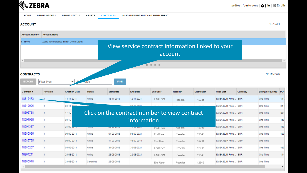

 $1 - 1$  of 1

**HOME REPAIR ORDERS REPAIR STATUS ASSETS CONTRACTS** VALIDATE WARRANTY AND ENTITLEMENT

### **ACCOUNT**

18280948

l 1

23-08-2018

Cancelled

23-08-2018

**Account Number Account Name** Zebra Technologies EMEA Demo Depot 6765498 View service contract information linked to your account  $H = H - H$ No Records **CONTRACTS** EYPORT **CHALL TANKS**  $\sim$ 

| <b>LAFVILE</b> | Timer Type |                      | -value          | <b>THYD</b>       |                                               |                 |                 |                    |                           |          |                              |            |
|----------------|------------|----------------------|-----------------|-------------------|-----------------------------------------------|-----------------|-----------------|--------------------|---------------------------|----------|------------------------------|------------|
| Contract #     | Revision   | <b>Creation Date</b> | <b>Status</b>   | <b>Start Date</b> | <b>End Date</b>                               | <b>End User</b> | <b>Reseller</b> | <b>Distributor</b> | <b>Price List</b>         | Currency | <b>Billing Frequency POI</b> |            |
| 18316473       |            | 13-11-2018           | Active          | 13-11-2018        | 12-11-2021                                    | End User        | Reseller        | 12345              | EMEA EUR Price EUR        |          | One Time                     | $$1-1$     |
| 18312006       |            | 05-11-2018           | <b>Million</b>  |                   | 28-10-2021                                    |                 |                 | 600 A.C            | EMEA EUR Price EUR:       |          | One Time                     | 81-5       |
| 18305738       |            | 17-10-               |                 |                   | Click on the contract number to view contract |                 |                 |                    | EMEA EUR Price EUR:       |          | One Time                     | <b>BSF</b> |
| 18297920       |            | 05-10-               |                 |                   | information                                   |                 |                 |                    | EMEA EUR Price EUR        |          | <b>One Time</b>              | 480        |
| 18291337       |            | 21-09-auro           | <b>PULSE DE</b> | Then are in the   | <b>LEWIS CONTROL</b>                          | End User        | Reseller        | 12345              | <b>EMEA EUR Price EUR</b> |          | One Time                     | 460        |
| 18285986       |            | 06-09-2018           | Active          | 04-09-2018        | 03-09-2021                                    | End User        | Reseller        | 12345              | EMEA EUR Price EUR:       |          | One Time                     | 460        |
| 18285755       |            | 06-09-2018           | Active          | 17-09-2018        | 16-09-2019                                    | End User        | Reseller        | 12345              | EMEA GBP Price GBP        |          | One Time                     |            |
| 18285267       |            | 04-09-2018           | Active          | 31-08-2018        | 30-08-2021                                    | End User        | Reseller        | 12345              | EMEA EUR Price EUR:       |          | One Time                     | 460        |
| 18281211       |            | 24-08-2018           | Active          | 23-08-2018        | 22-08-2021                                    | End User        | Reseller        | 12345              | EMEA EUR Price EUR:       |          | One Time                     | -81-1      |
|                |            |                      |                 |                   |                                               |                 |                 |                    |                           |          |                              |            |

End User

Reseller

12345

One Time

EMEA EUR Price... EUR